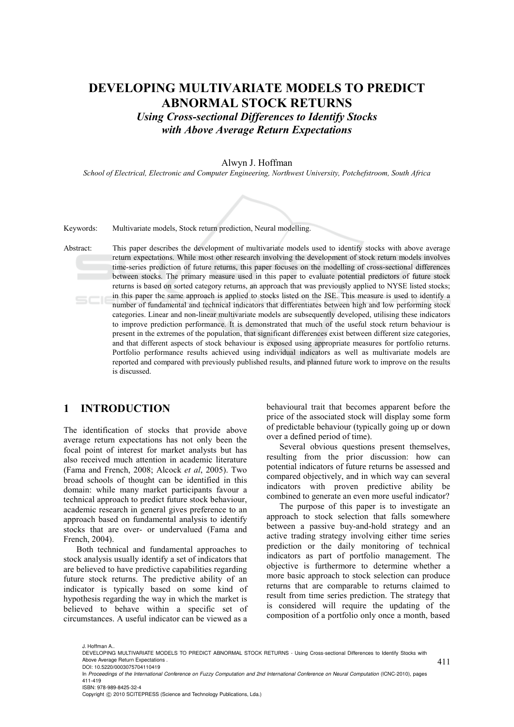# **DEVELOPING MULTIVARIATE MODELS TO PREDICT ABNORMAL STOCK RETURNS**

*Using Cross-sectional Differences to Identify Stocks with Above Average Return Expectations* 

#### Alwyn J. Hoffman

*School of Electrical, Electronic and Computer Engineering, Northwest University, Potchefstroom, South Africa* 



Keywords: Multivariate models, Stock return prediction, Neural modelling.

Abstract: This paper describes the development of multivariate models used to identify stocks with above average return expectations. While most other research involving the development of stock return models involves time-series prediction of future returns, this paper focuses on the modelling of cross-sectional differences between stocks. The primary measure used in this paper to evaluate potential predictors of future stock returns is based on sorted category returns, an approach that was previously applied to NYSE listed stocks; in this paper the same approach is applied to stocks listed on the JSE. This measure is used to identify a  $SCI6$ number of fundamental and technical indicators that differentiates between high and low performing stock categories. Linear and non-linear multivariate models are subsequently developed, utilising these indicators to improve prediction performance. It is demonstrated that much of the useful stock return behaviour is present in the extremes of the population, that significant differences exist between different size categories, and that different aspects of stock behaviour is exposed using appropriate measures for portfolio returns. Portfolio performance results achieved using individual indicators as well as multivariate models are reported and compared with previously published results, and planned future work to improve on the results is discussed.

### **1 INTRODUCTION**

The identification of stocks that provide above average return expectations has not only been the focal point of interest for market analysts but has also received much attention in academic literature (Fama and French, 2008; Alcock *et al*, 2005). Two broad schools of thought can be identified in this domain: while many market participants favour a technical approach to predict future stock behaviour, academic research in general gives preference to an approach based on fundamental analysis to identify stocks that are over- or undervalued (Fama and French, 2004).

Both technical and fundamental approaches to stock analysis usually identify a set of indicators that are believed to have predictive capabilities regarding future stock returns. The predictive ability of an indicator is typically based on some kind of hypothesis regarding the way in which the market is believed to behave within a specific set of circumstances. A useful indicator can be viewed as a

behavioural trait that becomes apparent before the price of the associated stock will display some form of predictable behaviour (typically going up or down over a defined period of time).

Several obvious questions present themselves, resulting from the prior discussion: how can potential indicators of future returns be assessed and compared objectively, and in which way can several indicators with proven predictive ability be combined to generate an even more useful indicator?

The purpose of this paper is to investigate an approach to stock selection that falls somewhere between a passive buy-and-hold strategy and an active trading strategy involving either time series prediction or the daily monitoring of technical indicators as part of portfolio management. The objective is furthermore to determine whether a more basic approach to stock selection can produce returns that are comparable to returns claimed to result from time series prediction. The strategy that is considered will require the updating of the composition of a portfolio only once a month, based

J. Hoffman A..

Copyright © 2010 SCITEPRESS (Science and Technology Publications, Lda.)

<sup>411</sup> DEVELOPING MULTIVARIATE MODELS TO PREDICT ABNORMAL STOCK RETURNS - Using Cross-sectional Differences to Identify Stocks with Above Average Return Expectations .

DOI: 10.5220/0003075704110419

In *Proceedings of the International Conference on Fuzzy Computation and 2nd International Conference on Neural Computation* (ICNC-2010), pages 411-419 ISBN: 978-989-8425-32-4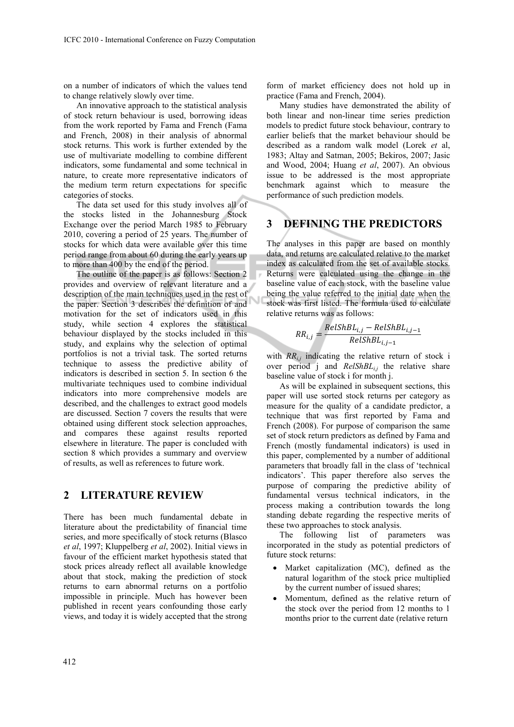on a number of indicators of which the values tend to change relatively slowly over time.

An innovative approach to the statistical analysis of stock return behaviour is used, borrowing ideas from the work reported by Fama and French (Fama and French, 2008) in their analysis of abnormal stock returns. This work is further extended by the use of multivariate modelling to combine different indicators, some fundamental and some technical in nature, to create more representative indicators of the medium term return expectations for specific categories of stocks.

The data set used for this study involves all of the stocks listed in the Johannesburg Stock Exchange over the period March 1985 to February 2010, covering a period of 25 years. The number of stocks for which data were available over this time period range from about 60 during the early years up to more than 400 by the end of the period.

The outline of the paper is as follows: Section 2 provides and overview of relevant literature and a description of the main techniques used in the rest of the paper. Section 3 describes the definition of and motivation for the set of indicators used in this study, while section 4 explores the statistical behaviour displayed by the stocks included in this study, and explains why the selection of optimal portfolios is not a trivial task. The sorted returns technique to assess the predictive ability of indicators is described in section 5. In section 6 the multivariate techniques used to combine individual indicators into more comprehensive models are described, and the challenges to extract good models are discussed. Section 7 covers the results that were obtained using different stock selection approaches, and compares these against results reported elsewhere in literature. The paper is concluded with section 8 which provides a summary and overview of results, as well as references to future work.

#### **2 LITERATURE REVIEW**

There has been much fundamental debate in literature about the predictability of financial time series, and more specifically of stock returns (Blasco *et al*, 1997; Kluppelberg *et al*, 2002). Initial views in favour of the efficient market hypothesis stated that stock prices already reflect all available knowledge about that stock, making the prediction of stock returns to earn abnormal returns on a portfolio impossible in principle. Much has however been published in recent years confounding those early views, and today it is widely accepted that the strong

form of market efficiency does not hold up in practice (Fama and French, 2004).

Many studies have demonstrated the ability of both linear and non-linear time series prediction models to predict future stock behaviour, contrary to earlier beliefs that the market behaviour should be described as a random walk model (Lorek *et* al, 1983; Altay and Satman, 2005; Bekiros, 2007; Jasic and Wood, 2004; Huang *et al*, 2007). An obvious issue to be addressed is the most appropriate benchmark against which to measure the performance of such prediction models.

### **3 DEFINING THE PREDICTORS**

The analyses in this paper are based on monthly data, and returns are calculated relative to the market index as calculated from the set of available stocks. Returns were calculated using the change in the baseline value of each stock, with the baseline value being the value referred to the initial date when the stock was first listed. The formula used to calculate relative returns was as follows:

$$
RR_{i,j} = \frac{RelShBL_{i,j} - RelShBL_{i,j-1}}{RelShBL_{i,j-1}}
$$

with  $RR_{i,j}$  indicating the relative return of stock i over period j and *RelShBLi,j* the relative share baseline value of stock i for month j.

As will be explained in subsequent sections, this paper will use sorted stock returns per category as measure for the quality of a candidate predictor, a technique that was first reported by Fama and French (2008). For purpose of comparison the same set of stock return predictors as defined by Fama and French (mostly fundamental indicators) is used in this paper, complemented by a number of additional parameters that broadly fall in the class of 'technical indicators'. This paper therefore also serves the purpose of comparing the predictive ability of fundamental versus technical indicators, in the process making a contribution towards the long standing debate regarding the respective merits of these two approaches to stock analysis.

The following list of parameters was incorporated in the study as potential predictors of future stock returns:

- Market capitalization (MC), defined as the natural logarithm of the stock price multiplied by the current number of issued shares;
- Momentum, defined as the relative return of the stock over the period from 12 months to 1 months prior to the current date (relative return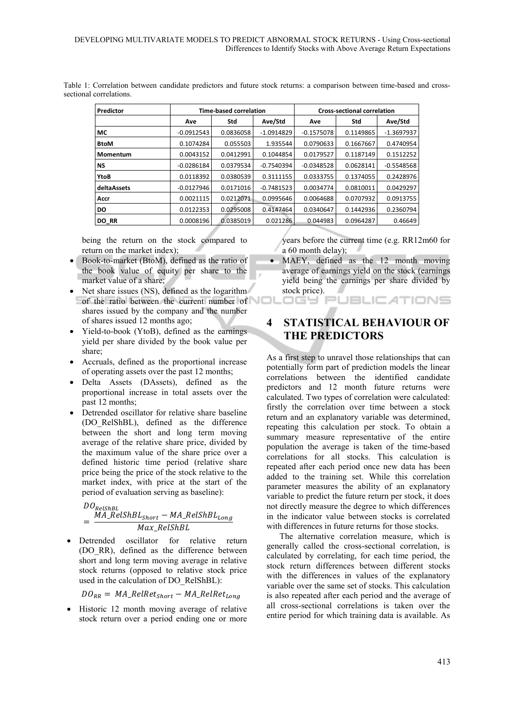| Predictor   |              | <b>Time-based correlation</b> |              |              | <b>Cross-sectional correlation</b> |              |  |  |
|-------------|--------------|-------------------------------|--------------|--------------|------------------------------------|--------------|--|--|
|             | Ave          | Std                           | Ave/Std      | Ave          | Std                                | Ave/Std      |  |  |
| МC          | $-0.0912543$ | 0.0836058                     | $-1.0914829$ | $-0.1575078$ | 0.1149865                          | $-1.3697937$ |  |  |
| <b>BtoM</b> | 0.1074284    | 0.055503                      | 1.935544     | 0.0790633    | 0.1667667                          | 0.4740954    |  |  |
| Momentum    | 0.0043152    | 0.0412991                     | 0.1044854    | 0.0179527    | 0.1187149                          | 0.1512252    |  |  |
| <b>NS</b>   | $-0.0286184$ | 0.0379534                     | $-0.7540394$ | $-0.0348528$ | 0.0628141                          | $-0.5548568$ |  |  |
| YtoB        | 0.0118392    | 0.0380539                     | 0.3111155    | 0.0333755    | 0.1374055                          | 0.2428976    |  |  |
| deltaAssets | $-0.0127946$ | 0.0171016                     | $-0.7481523$ | 0.0034774    | 0.0810011                          | 0.0429297    |  |  |
| Accr        | 0.0021115    | 0.0212071                     | 0.0995646    | 0.0064688    | 0.0707932                          | 0.0913755    |  |  |
| DO          | 0.0122353    | 0.0295008                     | 0.4147464    | 0.0340647    | 0.1442936                          | 0.2360794    |  |  |
| DO RR       | 0.0008196    | 0.0385019                     | 0.021286     | 0.044983     | 0.0964287                          | 0.46649      |  |  |

Table 1: Correlation between candidate predictors and future stock returns: a comparison between time-based and crosssectional correlations.

being the return on the stock compared to return on the market index);

- Book-to-market (BtoM), defined as the ratio of the book value of equity per share to the market value of a share;
- Net share issues (NS), defined as the logarithm of the ratio between the current number of shares issued by the company and the number of shares issued 12 months ago;
- Yield-to-book (YtoB), defined as the earnings yield per share divided by the book value per share;
- Accruals, defined as the proportional increase of operating assets over the past 12 months;
- Delta Assets (DAssets), defined as the proportional increase in total assets over the past 12 months;
- Detrended oscillator for relative share baseline (DO\_RelShBL), defined as the difference between the short and long term moving average of the relative share price, divided by the maximum value of the share price over a defined historic time period (relative share price being the price of the stock relative to the market index, with price at the start of the period of evaluation serving as baseline):

$$
DORelShBL
$$
  
= 
$$
\frac{MA_{\_}RelShBL_{Short} - MA_{\_}RelShBL_{Long}}{Max_{\_}RelShBL}
$$

• Detrended oscillator for relative return (DO\_RR), defined as the difference between short and long term moving average in relative stock returns (opposed to relative stock price used in the calculation of DO\_RelShBL):

 $DO_{RR} = MA\_RelRet_{Short} - MA\_RelRet_{Long}$ 

• Historic 12 month moving average of relative stock return over a period ending one or more years before the current time (e.g. RR12m60 for a 60 month delay);

• MAEY, defined as the 12 month moving average of earnings yield on the stock (earnings yield being the earnings per share divided by stock price). OGY PUBLICATIONS

**4 STATISTICAL BEHAVIOUR OF THE PREDICTORS** 

As a first step to unravel those relationships that can potentially form part of prediction models the linear correlations between the identified candidate predictors and 12 month future returns were calculated. Two types of correlation were calculated: firstly the correlation over time between a stock return and an explanatory variable was determined, repeating this calculation per stock. To obtain a summary measure representative of the entire population the average is taken of the time-based correlations for all stocks. This calculation is repeated after each period once new data has been added to the training set. While this correlation parameter measures the ability of an explanatory variable to predict the future return per stock, it does not directly measure the degree to which differences in the indicator value between stocks is correlated with differences in future returns for those stocks.

The alternative correlation measure, which is generally called the cross-sectional correlation, is calculated by correlating, for each time period, the stock return differences between different stocks with the differences in values of the explanatory variable over the same set of stocks. This calculation is also repeated after each period and the average of all cross-sectional correlations is taken over the entire period for which training data is available. As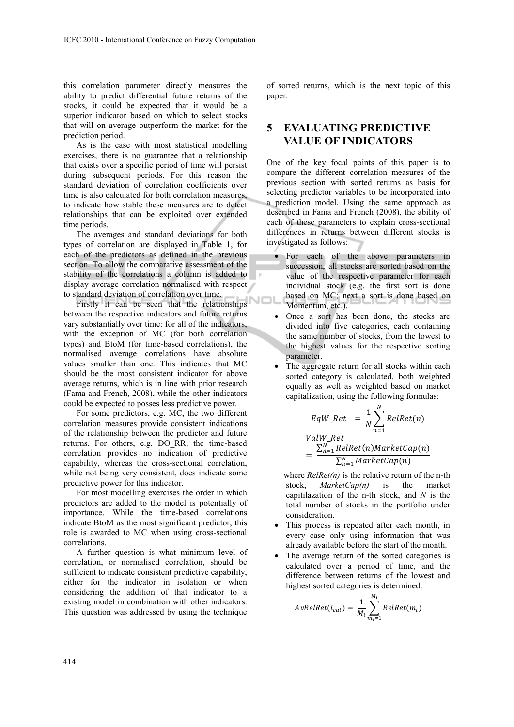this correlation parameter directly measures the ability to predict differential future returns of the stocks, it could be expected that it would be a superior indicator based on which to select stocks that will on average outperform the market for the prediction period.

As is the case with most statistical modelling exercises, there is no guarantee that a relationship that exists over a specific period of time will persist during subsequent periods. For this reason the standard deviation of correlation coefficients over time is also calculated for both correlation measures, to indicate how stable these measures are to detect relationships that can be exploited over extended time periods.

The averages and standard deviations for both types of correlation are displayed in Table 1, for each of the predictors as defined in the previous section. To allow the comparative assessment of the stability of the correlations a column is added to display average correlation normalised with respect to standard deviation of correlation over time.

Firstly it can be seen that the relationships between the respective indicators and future returns vary substantially over time: for all of the indicators, with the exception of MC (for both correlation types) and BtoM (for time-based correlations), the normalised average correlations have absolute values smaller than one. This indicates that MC should be the most consistent indicator for above average returns, which is in line with prior research (Fama and French, 2008), while the other indicators could be expected to posses less predictive power.

For some predictors, e.g. MC, the two different correlation measures provide consistent indications of the relationship between the predictor and future returns. For others, e.g. DO\_RR, the time-based correlation provides no indication of predictive capability, whereas the cross-sectional correlation, while not being very consistent, does indicate some predictive power for this indicator.

For most modelling exercises the order in which predictors are added to the model is potentially of importance. While the time-based correlations indicate BtoM as the most significant predictor, this role is awarded to MC when using cross-sectional correlations.

A further question is what minimum level of correlation, or normalised correlation, should be sufficient to indicate consistent predictive capability, either for the indicator in isolation or when considering the addition of that indicator to a existing model in combination with other indicators. This question was addressed by using the technique of sorted returns, which is the next topic of this paper.

# **5 EVALUATING PREDICTIVE VALUE OF INDICATORS**

One of the key focal points of this paper is to compare the different correlation measures of the previous section with sorted returns as basis for selecting predictor variables to be incorporated into a prediction model. Using the same approach as described in Fama and French (2008), the ability of each of these parameters to explain cross-sectional differences in returns between different stocks is investigated as follows:

- For each of the above parameters in succession, all stocks are sorted based on the value of the respective parameter for each individual stock (e.g. the first sort is done based on MC; next a sort is done based on VOL Momentum, etc.).
	- Once a sort has been done, the stocks are divided into five categories, each containing the same number of stocks, from the lowest to the highest values for the respective sorting parameter.
	- The aggregate return for all stocks within each sorted category is calculated, both weighted equally as well as weighted based on market capitalization, using the following formulas:

$$
EqW\_Ret = \frac{1}{N} \sum_{n=1}^{N} RelRet(n)
$$
  
ValW\\_Ret  
= 
$$
\frac{\sum_{n=1}^{N} RelRet(n)MarketCap(n)}{\sum_{n=1}^{N} MarketCap(n)}
$$

where *RelRet(n)* is the relative return of the n-th stock, *MarketCap(n)* is the market capitilazation of the n-th stock, and *N* is the total number of stocks in the portfolio under consideration.

- This process is repeated after each month, in every case only using information that was already available before the start of the month.
- The average return of the sorted categories is calculated over a period of time, and the difference between returns of the lowest and highest sorted categories is determined:

$$
AvRelRet(i_{cat}) = \frac{1}{M_i} \sum_{m_i=1}^{M_i} RelRet(m_i)
$$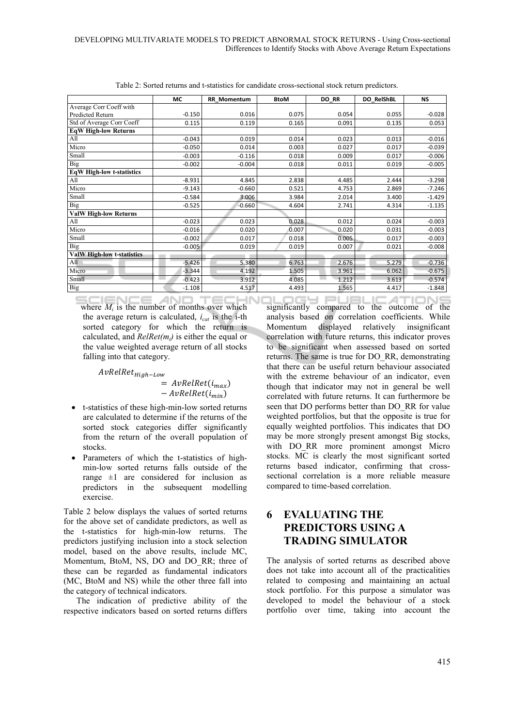|                                   | МC       | <b>RR Momentum</b> | <b>BtoM</b> | DO RR | DO RelShBL | <b>NS</b> |
|-----------------------------------|----------|--------------------|-------------|-------|------------|-----------|
| Average Corr Coeff with           |          |                    |             |       |            |           |
| Predicted Return                  | $-0.150$ | 0.016              | 0.075       | 0.054 | 0.055      | $-0.028$  |
| Std of Average Corr Coeff         | 0.115    | 0.119              | 0.165       | 0.091 | 0.135      | 0.053     |
| <b>EqW High-low Returns</b>       |          |                    |             |       |            |           |
| All                               | $-0.043$ | 0.019              | 0.014       | 0.023 | 0.013      | $-0.016$  |
| Micro                             | $-0.050$ | 0.014              | 0.003       | 0.027 | 0.017      | $-0.039$  |
| Small                             | $-0.003$ | $-0.116$           | 0.018       | 0.009 | 0.017      | $-0.006$  |
| <b>Big</b>                        | $-0.002$ | $-0.004$           | 0.018       | 0.011 | 0.019      | $-0.005$  |
| <b>EqW High-low t-statistics</b>  |          |                    |             |       |            |           |
| All                               | $-8.931$ | 4.845              | 2.838       | 4.485 | 2.444      | $-3.298$  |
| Micro                             | $-9.143$ | $-0.660$           | 0.521       | 4.753 | 2.869      | $-7.246$  |
| Small                             | $-0.584$ | 3.006              | 3.984       | 2.014 | 3.400      | $-1.429$  |
| <b>Big</b>                        | $-0.525$ | $-0.660$           | 4.604       | 2.741 | 4.314      | $-1.135$  |
| <b>ValW High-low Returns</b>      |          |                    |             |       |            |           |
| All                               | $-0.023$ | 0.023              | 0.028       | 0.012 | 0.024      | $-0.003$  |
| Micro                             | $-0.016$ | 0.020              | 0.007       | 0.020 | 0.031      | $-0.003$  |
| Small                             | $-0.002$ | 0.017              | 0.018       | 0.005 | 0.017      | $-0.003$  |
| Big                               | $-0.005$ | 0.019              | 0.019       | 0.007 | 0.021      | $-0.008$  |
| <b>ValW High-low t-statistics</b> |          |                    |             |       |            |           |
| All                               | $-5.426$ | 5.380              | 6.763       | 2.676 | 5.279      | $-0.736$  |
| Micro                             | $-3.344$ | 4.192              | 1.505       | 3.961 | 6.062      | $-0.675$  |
| Small                             | $-0.423$ | 3.912              | 4.085       | 1.212 | 3.613      | $-0.574$  |
| Big                               | $-1.108$ | 4.517              | 4.493       | 1.565 | 4.417      | $-1.848$  |

Table 2: Sorted returns and t-statistics for candidate cross-sectional stock return predictors.

CIENCE AND TECHNI where  $M_i$  is the number of months over which the average return is calculated,  $i_{cat}$  is the i-th sorted category for which the return is calculated, and *RelRet(mi)* is either the equal or the value weighted average return of all stocks falling into that category.

AvRelRet<sub>High-Low</sub>

 $=$   $AvRelRet(i_{max})$  $-AvRelRet(i_{min})$ 

- t-statistics of these high-min-low sorted returns are calculated to determine if the returns of the sorted stock categories differ significantly from the return of the overall population of stocks.
- Parameters of which the t-statistics of highmin-low sorted returns falls outside of the range  $\pm 1$  are considered for inclusion as predictors in the subsequent modelling exercise.

Table 2 below displays the values of sorted returns for the above set of candidate predictors, as well as the t-statistics for high-min-low returns. The predictors justifying inclusion into a stock selection model, based on the above results, include MC, Momentum, BtoM, NS, DO and DO\_RR; three of these can be regarded as fundamental indicators (MC, BtoM and NS) while the other three fall into the category of technical indicators.

The indication of predictive ability of the respective indicators based on sorted returns differs

significantly compared to the outcome of the analysis based on correlation coefficients. While Momentum displayed relatively insignificant correlation with future returns, this indicator proves to be significant when assessed based on sorted returns. The same is true for DO\_RR, demonstrating that there can be useful return behaviour associated with the extreme behaviour of an indicator, even though that indicator may not in general be well correlated with future returns. It can furthermore be seen that DO performs better than DO\_RR for value weighted portfolios, but that the opposite is true for equally weighted portfolios. This indicates that DO may be more strongly present amongst Big stocks, with DO\_RR more prominent amongst Micro stocks. MC is clearly the most significant sorted returns based indicator, confirming that crosssectional correlation is a more reliable measure compared to time-based correlation.

# **6 EVALUATING THE PREDICTORS USING A TRADING SIMULATOR**

The analysis of sorted returns as described above does not take into account all of the practicalities related to composing and maintaining an actual stock portfolio. For this purpose a simulator was developed to model the behaviour of a stock portfolio over time, taking into account the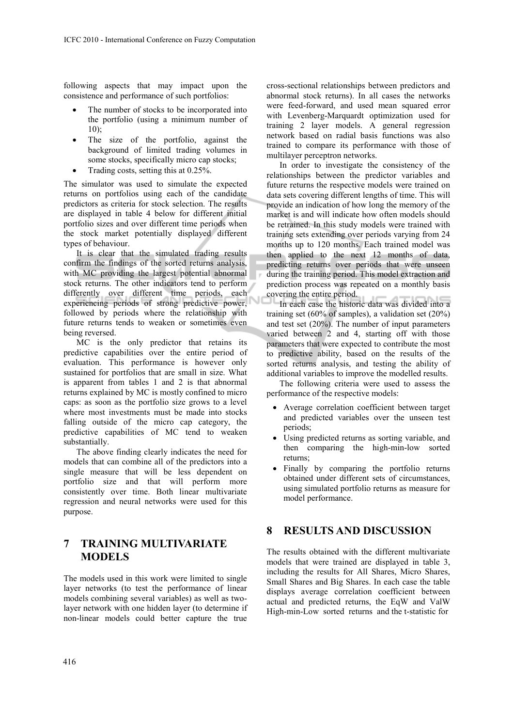following aspects that may impact upon the consistence and performance of such portfolios:

- The number of stocks to be incorporated into the portfolio (using a minimum number of  $10$
- The size of the portfolio, against the background of limited trading volumes in some stocks, specifically micro cap stocks;
- Trading costs, setting this at 0.25%.

The simulator was used to simulate the expected returns on portfolios using each of the candidate predictors as criteria for stock selection. The results are displayed in table 4 below for different initial portfolio sizes and over different time periods when the stock market potentially displayed different types of behaviour.

It is clear that the simulated trading results confirm the findings of the sorted returns analysis, with MC providing the largest potential abnormal stock returns. The other indicators tend to perform differently over different time periods, each experiencing periods of strong predictive power, followed by periods where the relationship with future returns tends to weaken or sometimes even being reversed.

MC is the only predictor that retains its predictive capabilities over the entire period of evaluation. This performance is however only sustained for portfolios that are small in size. What is apparent from tables 1 and 2 is that abnormal returns explained by MC is mostly confined to micro caps: as soon as the portfolio size grows to a level where most investments must be made into stocks falling outside of the micro cap category, the predictive capabilities of MC tend to weaken substantially.

The above finding clearly indicates the need for models that can combine all of the predictors into a single measure that will be less dependent on portfolio size and that will perform more consistently over time. Both linear multivariate regression and neural networks were used for this purpose.

# **7 TRAINING MULTIVARIATE MODELS**

The models used in this work were limited to single layer networks (to test the performance of linear models combining several variables) as well as twolayer network with one hidden layer (to determine if non-linear models could better capture the true

cross-sectional relationships between predictors and abnormal stock returns). In all cases the networks were feed-forward, and used mean squared error with Levenberg-Marquardt optimization used for training 2 layer models. A general regression network based on radial basis functions was also trained to compare its performance with those of multilayer perceptron networks.

In order to investigate the consistency of the relationships between the predictor variables and future returns the respective models were trained on data sets covering different lengths of time. This will provide an indication of how long the memory of the market is and will indicate how often models should be retrained. In this study models were trained with training sets extending over periods varying from 24 months up to 120 months. Each trained model was then applied to the next 12 months of data, predicting returns over periods that were unseen during the training period. This model extraction and prediction process was repeated on a monthly basis covering the entire period.

In each case the historic data was divided into a training set (60% of samples), a validation set (20%) and test set (20%). The number of input parameters varied between 2 and 4, starting off with those parameters that were expected to contribute the most to predictive ability, based on the results of the sorted returns analysis, and testing the ability of additional variables to improve the modelled results.

The following criteria were used to assess the performance of the respective models:

- Average correlation coefficient between target and predicted variables over the unseen test periods;
- Using predicted returns as sorting variable, and then comparing the high-min-low sorted returns;
- Finally by comparing the portfolio returns obtained under different sets of circumstances, using simulated portfolio returns as measure for model performance.

### **8 RESULTS AND DISCUSSION**

The results obtained with the different multivariate models that were trained are displayed in table 3, including the results for All Shares, Micro Shares, Small Shares and Big Shares. In each case the table displays average correlation coefficient between actual and predicted returns, the EqW and ValW High-min-Low sorted returns and the t-statistic for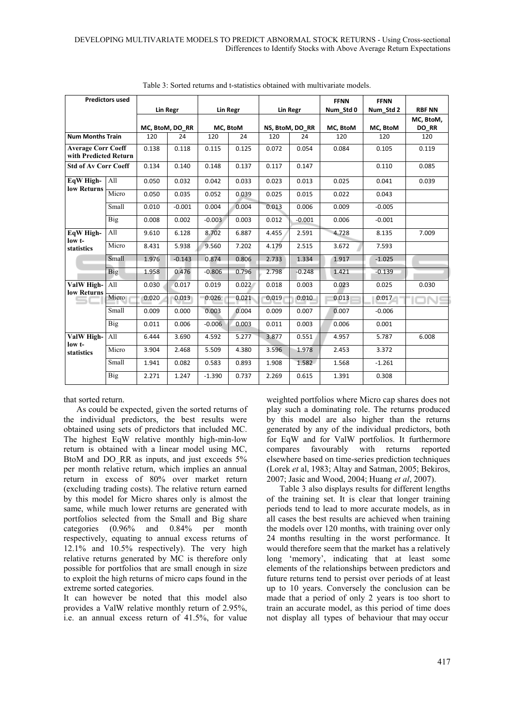| <b>Predictors used</b>                             |            |                 |          |          |          |                 |          | <b>FFNN</b> | <b>FFNN</b> |               |
|----------------------------------------------------|------------|-----------------|----------|----------|----------|-----------------|----------|-------------|-------------|---------------|
|                                                    |            |                 | Lin Regr |          | Lin Regr |                 | Lin Regr | Num Std 0   | Num Std 2   | <b>RBF NN</b> |
|                                                    |            |                 |          |          |          |                 |          |             |             | MC, BtoM,     |
|                                                    |            | MC, BtoM, DO RR |          | MC, BtoM |          | NS, BtoM, DO RR |          | MC, BtoM    | MC, BtoM    | <b>DO RR</b>  |
| <b>Num Months Train</b>                            |            | 120             | 24       | 120      | 24       | 120             | 24       | 120         | 120         | 120           |
| <b>Average Corr Coeff</b><br>with Predicted Return |            | 0.138           | 0.118    | 0.115    | 0.125    | 0.072           | 0.054    | 0.084       | 0.105       | 0.119         |
| <b>Std of Av Corr Coeff</b>                        |            | 0.134           | 0.140    | 0.148    | 0.137    | 0.117           | 0.147    |             | 0.110       | 0.085         |
| EqW High-<br>low Returns                           | All        | 0.050           | 0.032    | 0.042    | 0.033    | 0.023           | 0.013    | 0.025       | 0.041       | 0.039         |
|                                                    | Micro      | 0.050           | 0.035    | 0.052    | 0.039    | 0.025           | 0.015    | 0.022       | 0.043       |               |
|                                                    | Small      | 0.010           | $-0.001$ | 0.004    | 0.004    | 0.013           | 0.006    | 0.009       | $-0.005$    |               |
|                                                    | Big        | 0.008           | 0.002    | $-0.003$ | 0.003    | 0.012           | $-0.001$ | 0.006       | $-0.001$    |               |
| EqW High-<br>low t-                                | All        | 9.610           | 6.128    | 8.702    | 6.887    | 4.455           | 2.591    | 4.728       | 8.135       | 7.009         |
| statistics                                         | Micro      | 8.431           | 5.938    | 9.560    | 7.202    | 4.179           | 2.515    | 3.672       | 7.593       |               |
|                                                    | Small      | 1.976           | $-0.143$ | 0.874    | 0.806    | 2.733           | 1.334    | 1.917       | $-1.025$    |               |
|                                                    | <b>Big</b> | 1.958           | 0.476    | $-0.806$ | 0.796    | 2.798           | $-0.248$ | 1.421       | $-0.139$    |               |
| ValW High-<br>low Returns                          | All        | 0.030           | 0.017    | 0.019    | 0.022    | 0.018           | 0.003    | 0.023       | 0.025       | 0.030         |
| —                                                  | Micro      | 0.020           | 0.013    | 0.026    | 0.021    | 0.019           | 0.010    | 0.013       | 0.017       | DN⊆           |
|                                                    | Small      | 0.009           | 0.000    | 0.003    | 0.004    | 0.009           | 0.007    | 0.007       | $-0.006$    |               |
|                                                    | <b>Big</b> | 0.011           | 0.006    | $-0.006$ | 0.003    | 0.011           | 0.003    | 0.006       | 0.001       |               |
| ValW High-<br>low t-                               | All        | 6.444           | 3.690    | 4.592    | 5.277    | 3.877           | 0.551    | 4.957       | 5.787       | 6.008         |
| statistics                                         | Micro      | 3.904           | 2.468    | 5.509    | 4.380    | 3.596           | 1.978    | 2.453       | 3.372       |               |
|                                                    | Small      | 1.941           | 0.082    | 0.583    | 0.893    | 1.908           | 1.582    | 1.568       | $-1.261$    |               |
|                                                    | <b>Big</b> | 2.271           | 1.247    | $-1.390$ | 0.737    | 2.269           | 0.615    | 1.391       | 0.308       |               |

Table 3: Sorted returns and t-statistics obtained with multivariate models.

that sorted return.

As could be expected, given the sorted returns of the individual predictors, the best results were obtained using sets of predictors that included MC. The highest EqW relative monthly high-min-low return is obtained with a linear model using MC, BtoM and DO\_RR as inputs, and just exceeds 5% per month relative return, which implies an annual return in excess of 80% over market return (excluding trading costs). The relative return earned by this model for Micro shares only is almost the same, while much lower returns are generated with portfolios selected from the Small and Big share categories (0.96% and 0.84% per month respectively, equating to annual excess returns of 12.1% and 10.5% respectively). The very high relative returns generated by MC is therefore only possible for portfolios that are small enough in size to exploit the high returns of micro caps found in the extreme sorted categories.

It can however be noted that this model also provides a ValW relative monthly return of 2.95%, i.e. an annual excess return of 41.5%, for value

weighted portfolios where Micro cap shares does not play such a dominating role. The returns produced by this model are also higher than the returns generated by any of the individual predictors, both for EqW and for ValW portfolios. It furthermore compares favourably with returns reported elsewhere based on time-series prediction techniques (Lorek *et* al, 1983; Altay and Satman, 2005; Bekiros, 2007; Jasic and Wood, 2004; Huang *et al*, 2007).

Table 3 also displays results for different lengths of the training set. It is clear that longer training periods tend to lead to more accurate models, as in all cases the best results are achieved when training the models over 120 months, with training over only 24 months resulting in the worst performance. It would therefore seem that the market has a relatively long 'memory', indicating that at least some elements of the relationships between predictors and future returns tend to persist over periods of at least up to 10 years. Conversely the conclusion can be made that a period of only 2 years is too short to train an accurate model, as this period of time does not display all types of behaviour that may occur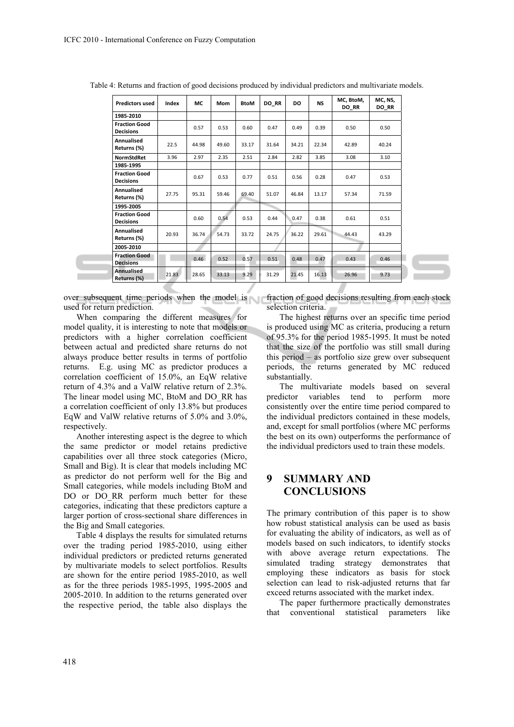| <b>Predictors used</b>                   | Index | МC    | Mom   | BtoM  | DO_RR | DO    | <b>NS</b> | MC, BtoM,<br>DO_RR | MC, NS,<br>DO_RR |
|------------------------------------------|-------|-------|-------|-------|-------|-------|-----------|--------------------|------------------|
| 1985-2010                                |       |       |       |       |       |       |           |                    |                  |
| <b>Fraction Good</b><br><b>Decisions</b> |       | 0.57  | 0.53  | 0.60  | 0.47  | 0.49  | 0.39      | 0.50               | 0.50             |
| Annualised<br>Returns (%)                | 22.5  | 44.98 | 49.60 | 33.17 | 31.64 | 34.21 | 22.34     | 42.89              | 40.24            |
| <b>NormStdRet</b>                        | 3.96  | 2.97  | 2.35  | 2.51  | 2.84  | 2.82  | 3.85      | 3.08               | 3.10             |
| 1985-1995                                |       |       |       |       |       |       |           |                    |                  |
| <b>Fraction Good</b><br><b>Decisions</b> |       | 0.67  | 0.53  | 0.77  | 0.51  | 0.56  | 0.28      | 0.47               | 0.53             |
| Annualised<br>Returns (%)                | 27.75 | 95.31 | 59.46 | 69.40 | 51.07 | 46.84 | 13.17     | 57.34              | 71.59            |
| 1995-2005                                |       |       |       |       |       |       |           |                    |                  |
| <b>Fraction Good</b><br><b>Decisions</b> |       | 0.60  | 0.54  | 0.53  | 0.44  | 0.47  | 0.38      | 0.61               | 0.51             |
| <b>Annualised</b><br>Returns (%)         | 20.93 | 36.74 | 54.73 | 33.72 | 24.75 | 36.22 | 29.61     | 44.43              | 43.29            |
| 2005-2010                                |       |       |       |       |       |       |           |                    |                  |
| <b>Fraction Good</b><br><b>Decisions</b> |       | 0.46  | 0.52  | 0.57  | 0.51  | 0.48  | 0.47      | 0.43               | 0.46             |
| <b>Annualised</b><br>Returns (%)         | 21.83 | 28.65 | 33.13 | 9.29  | 31.29 | 21.45 | 16.13     | 26.96              | 9.73             |

Table 4: Returns and fraction of good decisions produced by individual predictors and multivariate models.

over subsequent time periods when the model is used for return prediction.

When comparing the different measures for model quality, it is interesting to note that models or predictors with a higher correlation coefficient between actual and predicted share returns do not always produce better results in terms of portfolio returns. E.g. using MC as predictor produces a correlation coefficient of 15.0%, an EqW relative return of 4.3% and a ValW relative return of 2.3%. The linear model using MC, BtoM and DO\_RR has a correlation coefficient of only 13.8% but produces EqW and ValW relative returns of 5.0% and 3.0%, respectively.

Another interesting aspect is the degree to which the same predictor or model retains predictive capabilities over all three stock categories (Micro, Small and Big). It is clear that models including MC as predictor do not perform well for the Big and Small categories, while models including BtoM and DO or DO\_RR perform much better for these categories, indicating that these predictors capture a larger portion of cross-sectional share differences in the Big and Small categories.

Table 4 displays the results for simulated returns over the trading period 1985-2010, using either individual predictors or predicted returns generated by multivariate models to select portfolios. Results are shown for the entire period 1985-2010, as well as for the three periods 1985-1995, 1995-2005 and 2005-2010. In addition to the returns generated over the respective period, the table also displays the

fraction of good decisions resulting from each stock selection criteria.

The highest returns over an specific time period is produced using MC as criteria, producing a return of 95.3% for the period 1985-1995. It must be noted that the size of the portfolio was still small during this period – as portfolio size grew over subsequent periods, the returns generated by MC reduced substantially.

The multivariate models based on several predictor variables tend to perform more consistently over the entire time period compared to the individual predictors contained in these models, and, except for small portfolios (where MC performs the best on its own) outperforms the performance of the individual predictors used to train these models.

## **9 SUMMARY AND CONCLUSIONS**

The primary contribution of this paper is to show how robust statistical analysis can be used as basis for evaluating the ability of indicators, as well as of models based on such indicators, to identify stocks with above average return expectations. The simulated trading strategy demonstrates that employing these indicators as basis for stock selection can lead to risk-adjusted returns that far exceed returns associated with the market index.

The paper furthermore practically demonstrates that conventional statistical parameters like